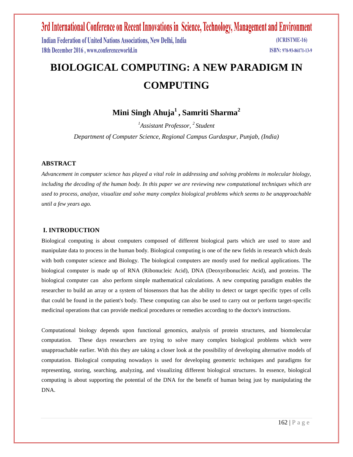Indian Federation of United Nations Associations, New Delhi, India 18th December 2016, www.conferenceworld.in

(ICRISTME-16) ISBN: 978-93-86171-13-9

# **BIOLOGICAL COMPUTING: A NEW PARADIGM IN COMPUTING**

## **Mini Singh Ahuja<sup>1</sup> , Samriti Sharma<sup>2</sup>**

*<sup>1</sup>Assistant Professor, <sup>2</sup>Student Department of Computer Science, Regional Campus Gurdaspur, Punjab, (India)*

### **ABSTRACT**

*Advancement in computer science has played a vital role in addressing and solving problems in molecular biology, including the decoding of the human body. In this paper we are reviewing new computational techniques which are used to process, analyze, visualize and solve many complex biological problems which seems to be unapproachable until a few years ago.*

## **I. INTRODUCTION**

Biological computing is about computers composed of different biological parts which are used to store and manipulate data to process in the human body. Biological computing is one of the new fields in research which deals with both computer science and Biology. The biological computers are mostly used for medical applications. The biological computer is made up of RNA (Ribonucleic Acid), DNA (Deoxyribonucleic Acid), and proteins. The biological computer can also perform simple mathematical calculations. A new computing paradigm enables the researcher to build an array or a system of biosensors that has the ability to detect or target specific types of cells that could be found in the patient's body. These computing can also be used to carry out or perform target-specific medicinal operations that can provide medical procedures or remedies according to the doctor's instructions.

Computational biology depends upon functional genomics, analysis of protein structures, and biomolecular computation. These days researchers are trying to solve many complex biological problems which were unapproachable earlier. With this they are taking a closer look at the possibility of developing alternative models of computation. Biological computing nowadays is used for developing geometric techniques and paradigms for representing, storing, searching, analyzing, and visualizing different biological structures. In essence, biological computing is about supporting the potential of the DNA for the benefit of human being just by manipulating the DNA.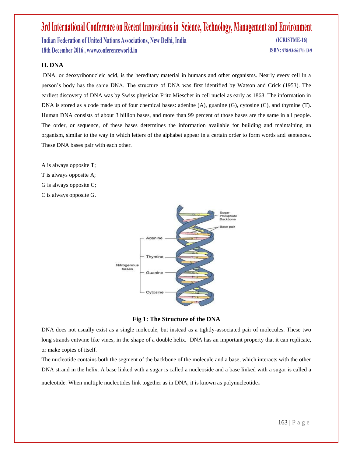Indian Federation of United Nations Associations, New Delhi, India 18th December 2016, www.conferenceworld.in

(ICRISTME-16) ISBN: 978-93-86171-13-9

### **II. DNA**

DNA, or deoxyribonucleic acid, is the hereditary material in humans and other organisms. Nearly every cell in a person's body has the same DNA. The structure of DNA was first identified by Watson and Crick (1953). The earliest discovery of DNA was by Swiss physician Fritz Miescher in cell nuclei as early as 1868. The information in DNA is stored as a code made up of four chemical bases: adenine (A), guanine (G), cytosine (C), and thymine (T). Human DNA consists of about 3 billion bases, and more than 99 percent of those bases are the same in all people. The order, or sequence, of these bases determines the information available for building and maintaining an organism, similar to the way in which letters of the alphabet appear in a certain order to form words and sentences. These DNA bases pair with each other.

A is always opposite T; T is always opposite A; G is always opposite C; C is always opposite G.





DNA does not usually exist as a single molecule, but instead as a tightly-associated pair of molecules. These two long strands entwine like vines, in the shape of a double helix. DNA has an important property that it can replicate, or make copies of itself.

The nucleotide contains both the segment of the backbone of the molecule and a base, which interacts with the other DNA strand in the helix. A base linked with a sugar is called a nucleoside and a base linked with a sugar is called a

nucleotide. When multiple nucleotides link together as in DNA, it is known as polynucleotide.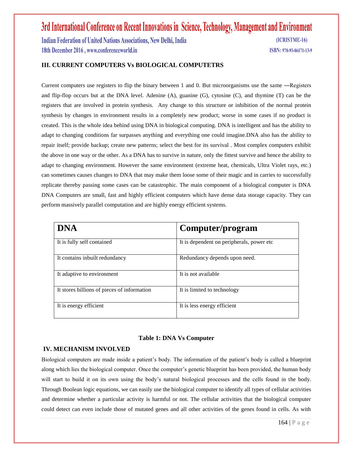Indian Federation of United Nations Associations, New Delhi, India 18th December 2016, www.conferenceworld.in

(ICRISTME-16) ISBN: 978-93-86171-13-9

## **III. CURRENT COMPUTERS Vs BIOLOGICAL COMPUTETRS**

Current computers use registers to flip the binary between 1 and 0. But microorganisms use the same ―Registers and flip-flop occurs but at the DNA level. Adenine (A), guanine (G), cytosine (C), and thymine (T) can be the registers that are involved in protein synthesis. Any change to this structure or inhibition of the normal protein synthesis by changes in environment results in a completely new product; worse in some cases if no product is created. This is the whole idea behind using DNA in biological computing. DNA is intelligent and has the ability to adapt to changing conditions far surpasses anything and everything one could imagine.DNA also has the ability to repair itself; provide backup; create new patterns; select the best for its survival . Most complex computers exhibit the above in one way or the other. As a DNA has to survive in nature, only the fittest survive and hence the ability to adapt to changing environment. However the same environment (extreme heat, chemicals, Ultra Violet rays, etc.) can sometimes causes changes to DNA that may make them loose some of their magic and in carries to successfully replicate thereby passing some cases can be catastrophic. The main component of a biological computer is DNA DNA Computers are small, fast and highly efficient computers which have dense data storage capacity. They can perform massively parallel computation and are highly energy efficient systems.

| <b>DNA</b>                                  | Computer/program                           |
|---------------------------------------------|--------------------------------------------|
| It is fully self contained                  | It is dependent on peripherals, power etc. |
| It contains inbuilt redundancy              | Redundancy depends upon need.              |
| It adaptive to environment                  | It is not available                        |
| It stores billions of pieces of information | It is limited to technology                |
| It is energy efficient                      | It is less energy efficient                |

#### **Table 1: DNA Vs Computer**

#### **IV. MECHANISM INVOLVED**

Biological computers are made inside a patient's body. The information of the patient's body is called a blueprint along which lies the biological computer. Once the computer's genetic blueprint has been provided, the human body will start to build it on its own using the body's natural biological processes and the cells found in the body. Through Boolean logic equations, we can easily use the biological computer to identify all types of cellular activities and determine whether a particular activity is harmful or not. The cellular activities that the biological computer could detect can even include those of mutated genes and all other activities of the genes found in cells. As with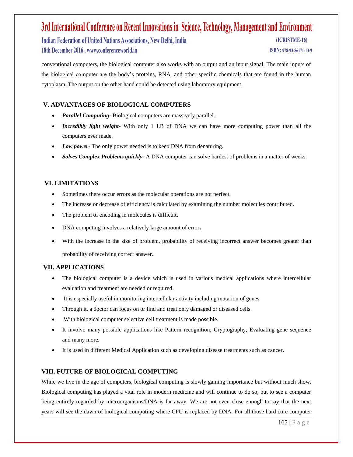Indian Federation of United Nations Associations, New Delhi, India 18th December 2016, www.conferenceworld.in

(ICRISTME-16)

ISBN: 978-93-86171-13-9

conventional computers, the biological computer also works with an output and an input signal. The main inputs of the biological computer are the body's proteins, RNA, and other specific chemicals that are found in the human cytoplasm. The output on the other hand could be detected using laboratory equipment.

## **V. ADVANTAGES OF BIOLOGICAL COMPUTERS**

- *Parallel Computing-* Biological computers are massively parallel.
- *Incredibly light weight* With only 1 LB of DNA we can have more computing power than all the computers ever made.
- *Low power* The only power needed is to keep DNA from denaturing.
- *Solves Complex Problems quickly* A DNA computer can solve hardest of problems in a matter of weeks.

## **VI. LIMITATIONS**

- Sometimes there occur errors as the molecular operations are not perfect.
- The increase or decrease of efficiency is calculated by examining the number molecules contributed.
- The problem of encoding in molecules is difficult.
- DNA computing involves a relatively large amount of error.
- With the increase in the size of problem, probability of receiving incorrect answer becomes greater than probability of receiving correct answer.

### **VII. APPLICATIONS**

- The biological computer is a device which is used in various medical applications where intercellular evaluation and treatment are needed or required.
- It is especially useful in monitoring intercellular activity including mutation of genes.
- Through it, a doctor can focus on or find and treat only damaged or diseased cells.
- With biological computer selective cell treatment is made possible.
- It involve many possible applications like Pattern recognition, Cryptography, Evaluating gene sequence and many more.
- It is used in different Medical Application such as developing disease treatments such as cancer.

## **VIII. FUTURE OF BIOLOGICAL COMPUTING**

While we live in the age of computers, biological computing is slowly gaining importance but without much show. Biological computing has played a vital role in modern medicine and will continue to do so, but to see a computer being entirely regarded by microorganisms/DNA is far away. We are not even close enough to say that the next years will see the dawn of biological computing where CPU is replaced by DNA. For all those hard core computer